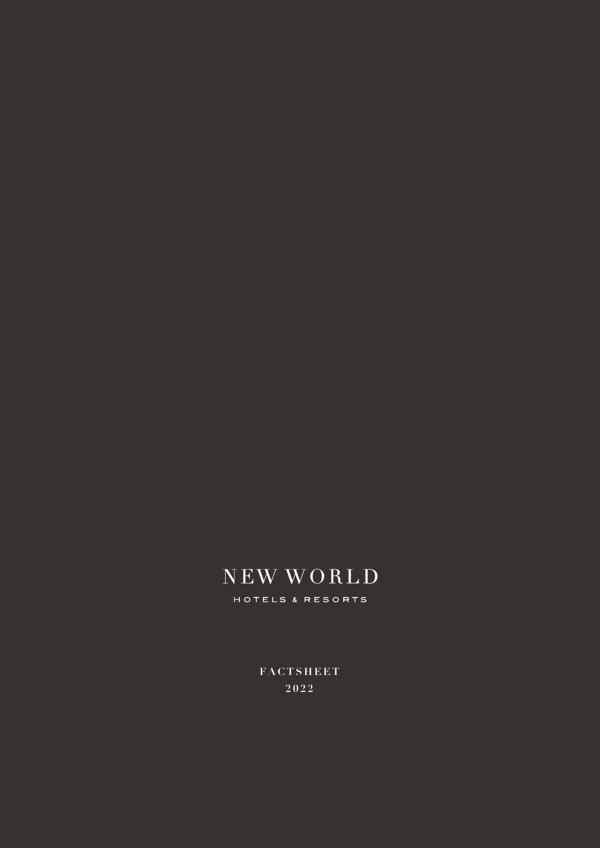# NEW WORLD

HOTELS & RESORTS

**FACTSHEET**  $2022$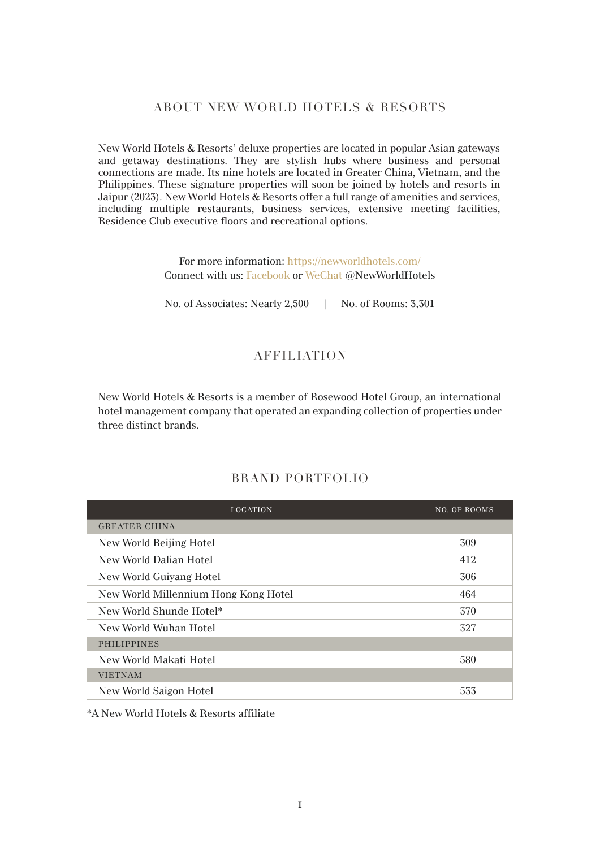#### ABOUT NEW WORLD HOTELS & RESORTS

New World Hotels & Resorts' deluxe properties are located in popular Asian gateways and getaway destinations. They are stylish hubs where business and personal connections are made. Its nine hotels are located in Greater China, Vietnam, and the Philippines. These signature properties will soon be joined by hotels and resorts in Jaipur (2023). New World Hotels & Resorts offer a full range of amenities and services, including multiple restaurants, business services, extensive meeting facilities, Residence Club executive floors and recreational options.

> For more information: https://newworldhotels.com/ Connect with us: Facebook or WeChat @NewWorldHotels

> No. of Associates: Nearly 2,500 | No. of Rooms: 3,301

## AFFILIATION

New World Hotels & Resorts is a member of Rosewood Hotel Group, an international hotel management company that operated an expanding collection of properties under three distinct brands.

| <b>LOCATION</b>                      | <b>NO. OF ROOMS</b> |
|--------------------------------------|---------------------|
| <b>GREATER CHINA</b>                 |                     |
| New World Beijing Hotel              | 309                 |
| New World Dalian Hotel               | 412                 |
| New World Guiyang Hotel              | 306                 |
| New World Millennium Hong Kong Hotel | 464                 |
| New World Shunde Hotel*              | 370                 |
| New World Wuhan Hotel                | 327                 |
| <b>PHILIPPINES</b>                   |                     |
| New World Makati Hotel               | 580                 |
| <b>VIETNAM</b>                       |                     |
| New World Saigon Hotel               | 533                 |

#### BRAND PORTFOLIO

\*A New World Hotels & Resorts affiliate